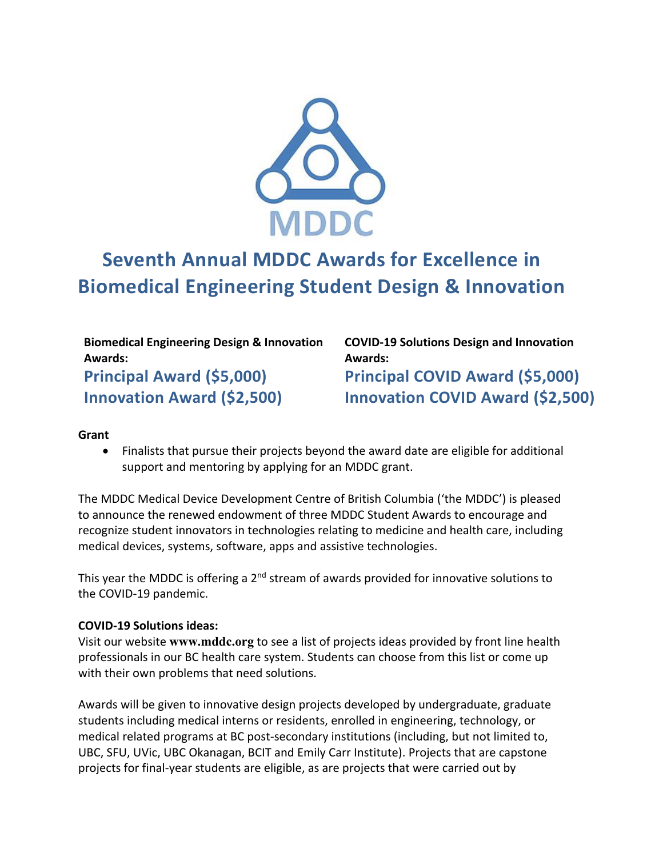

# **Seventh Annual MDDC Awards for Excellence in Biomedical Engineering Student Design & Innovation**

**Biomedical Engineering Design & Innovation Awards: Principal Award (\$5,000)**

**Innovation Award (\$2,500)**

**COVID-19 Solutions Design and Innovation Awards: Principal COVID Award (\$5,000) Innovation COVID Award (\$2,500)**

#### **Grant**

• Finalists that pursue their projects beyond the award date are eligible for additional support and mentoring by applying for an MDDC grant.

The MDDC Medical Device Development Centre of British Columbia ('the MDDC') is pleased to announce the renewed endowment of three MDDC Student Awards to encourage and recognize student innovators in technologies relating to medicine and health care, including medical devices, systems, software, apps and assistive technologies.

This year the MDDC is offering a  $2<sup>nd</sup>$  stream of awards provided for innovative solutions to the COVID-19 pandemic.

#### **COVID-19 Solutions ideas:**

Visit our website **www.mddc.org** to see a list of projects ideas provided by front line health professionals in our BC health care system. Students can choose from this list or come up with their own problems that need solutions.

Awards will be given to innovative design projects developed by undergraduate, graduate students including medical interns or residents, enrolled in engineering, technology, or medical related programs at BC post-secondary institutions (including, but not limited to, UBC, SFU, UVic, UBC Okanagan, BCIT and Emily Carr Institute). Projects that are capstone projects for final-year students are eligible, as are projects that were carried out by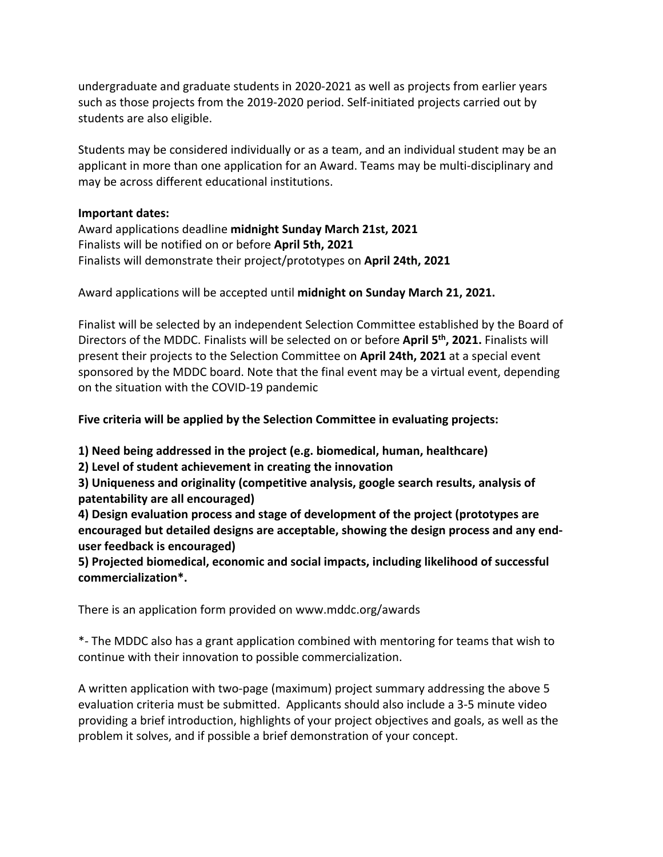undergraduate and graduate students in 2020-2021 as well as projects from earlier years such as those projects from the 2019-2020 period. Self-initiated projects carried out by students are also eligible.

Students may be considered individually or as a team, and an individual student may be an applicant in more than one application for an Award. Teams may be multi-disciplinary and may be across different educational institutions.

#### **Important dates:**

Award applications deadline **midnight Sunday March 21st, 2021** Finalists will be notified on or before **April 5th, 2021** Finalists will demonstrate their project/prototypes on **April 24th, 2021**

Award applications will be accepted until **midnight on Sunday March 21, 2021.**

Finalist will be selected by an independent Selection Committee established by the Board of Directors of the MDDC. Finalists will be selected on or before **April 5th, 2021.** Finalists will present their projects to the Selection Committee on **April 24th, 2021** at a special event sponsored by the MDDC board. Note that the final event may be a virtual event, depending on the situation with the COVID-19 pandemic

## **Five criteria will be applied by the Selection Committee in evaluating projects:**

**1) Need being addressed in the project (e.g. biomedical, human, healthcare)**

**2) Level of student achievement in creating the innovation**

**3) Uniqueness and originality (competitive analysis, google search results, analysis of patentability are all encouraged)**

**4) Design evaluation process and stage of development of the project (prototypes are encouraged but detailed designs are acceptable, showing the design process and any enduser feedback is encouraged)**

**5) Projected biomedical, economic and social impacts, including likelihood of successful commercialization\*.**

There is an application form provided on www.mddc.org/awards

\*- The MDDC also has a grant application combined with mentoring for teams that wish to continue with their innovation to possible commercialization.

A written application with two-page (maximum) project summary addressing the above 5 evaluation criteria must be submitted. Applicants should also include a 3-5 minute video providing a brief introduction, highlights of your project objectives and goals, as well as the problem it solves, and if possible a brief demonstration of your concept.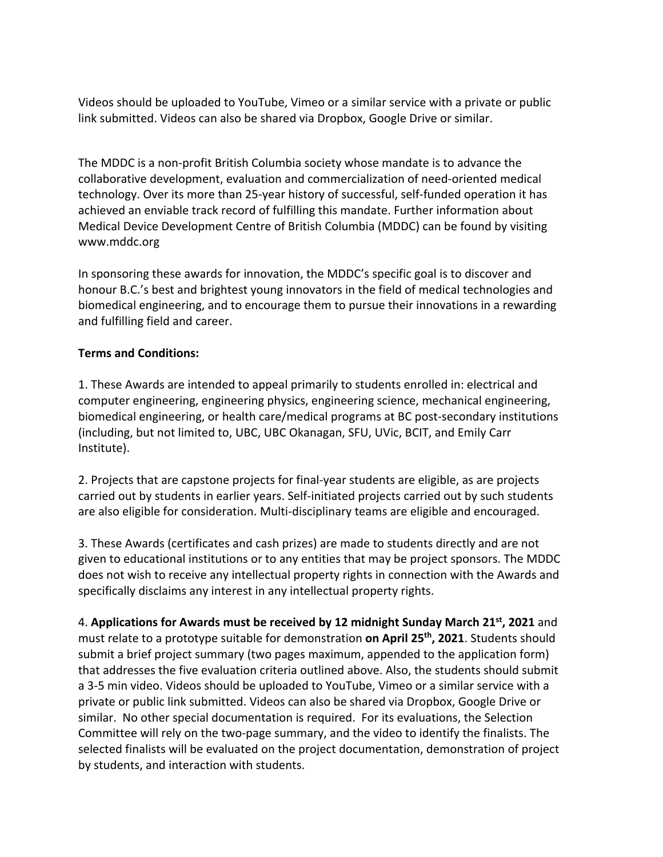Videos should be uploaded to YouTube, Vimeo or a similar service with a private or public link submitted. Videos can also be shared via Dropbox, Google Drive or similar.

The MDDC is a non-profit British Columbia society whose mandate is to advance the collaborative development, evaluation and commercialization of need-oriented medical technology. Over its more than 25-year history of successful, self-funded operation it has achieved an enviable track record of fulfilling this mandate. Further information about Medical Device Development Centre of British Columbia (MDDC) can be found by visiting www.mddc.org

In sponsoring these awards for innovation, the MDDC's specific goal is to discover and honour B.C.'s best and brightest young innovators in the field of medical technologies and biomedical engineering, and to encourage them to pursue their innovations in a rewarding and fulfilling field and career.

### **Terms and Conditions:**

1. These Awards are intended to appeal primarily to students enrolled in: electrical and computer engineering, engineering physics, engineering science, mechanical engineering, biomedical engineering, or health care/medical programs at BC post-secondary institutions (including, but not limited to, UBC, UBC Okanagan, SFU, UVic, BCIT, and Emily Carr Institute).

2. Projects that are capstone projects for final-year students are eligible, as are projects carried out by students in earlier years. Self-initiated projects carried out by such students are also eligible for consideration. Multi-disciplinary teams are eligible and encouraged.

3. These Awards (certificates and cash prizes) are made to students directly and are not given to educational institutions or to any entities that may be project sponsors. The MDDC does not wish to receive any intellectual property rights in connection with the Awards and specifically disclaims any interest in any intellectual property rights.

4. **Applications for Awards must be received by 12 midnight Sunday March 21st, 2021** and must relate to a prototype suitable for demonstration **on April 25th, 2021**. Students should submit a brief project summary (two pages maximum, appended to the application form) that addresses the five evaluation criteria outlined above. Also, the students should submit a 3-5 min video. Videos should be uploaded to YouTube, Vimeo or a similar service with a private or public link submitted. Videos can also be shared via Dropbox, Google Drive or similar. No other special documentation is required. For its evaluations, the Selection Committee will rely on the two-page summary, and the video to identify the finalists. The selected finalists will be evaluated on the project documentation, demonstration of project by students, and interaction with students.